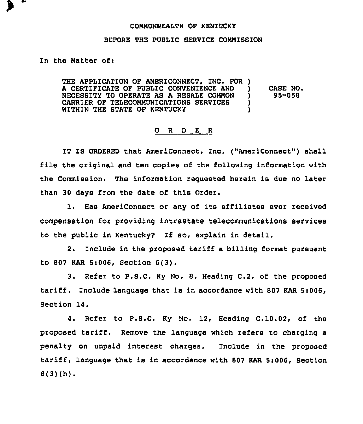## COHNONWEALTH OF KENTUCKY

## BEFORE THE PUBLIC SERVICE COMMISSION

In the Matter of:

THE APPLICATION OF AMERICONNECT, INC. FOR ) A CERTIFICATE OF PUBLIC CONVENIENCE AND )<br>NECESSITY TO OPERATE AS A RESALE COMMON ) NECESSITY TO OPERATE AS A RESALE COMMON )<br>CARRIER OF TELECOMMUNICATIONS SERVICES ) CARRIER OF TELECOMMUNICATIONS SERVICES )<br>WITHIN THE STATE OF KENTUCKY WITHIN THE STATE OF KENTUCKY )

CABE NO. 95-058

## O R D E R

IT IS ORDERED that AmeriConnect, Inc. ("AmeriConnect") shall file the original and ten copies of the following information with the Commission. The information requested herein is due no later than 30 days from the date of this Order.

l. Has AmeriConnect or any of its affiliates ever received compensation for providing intrastate telecommunications services to the public in Kentucky? If so, explain in detail.

2. Include in the proposed tariff a billing format pursuant to 807 KAR 5:006, Section 6(3).

3. Refer to P.S.C. Ky No. 8, Heading C.2, of the proposed tariff . Include language that is in accordance with <sup>807</sup> KAR Si006, Section 14.

4. Refer to P.S.C. Ky No. 12, Heading C.10.02, of the proposed tariff. Remove the language which refers to charging <sup>a</sup> penalty on unpaid interest charges. Include in the proposed tariff, language that is in accordance with <sup>807</sup> KAR Si006, Section  $8(3)(h)$ .